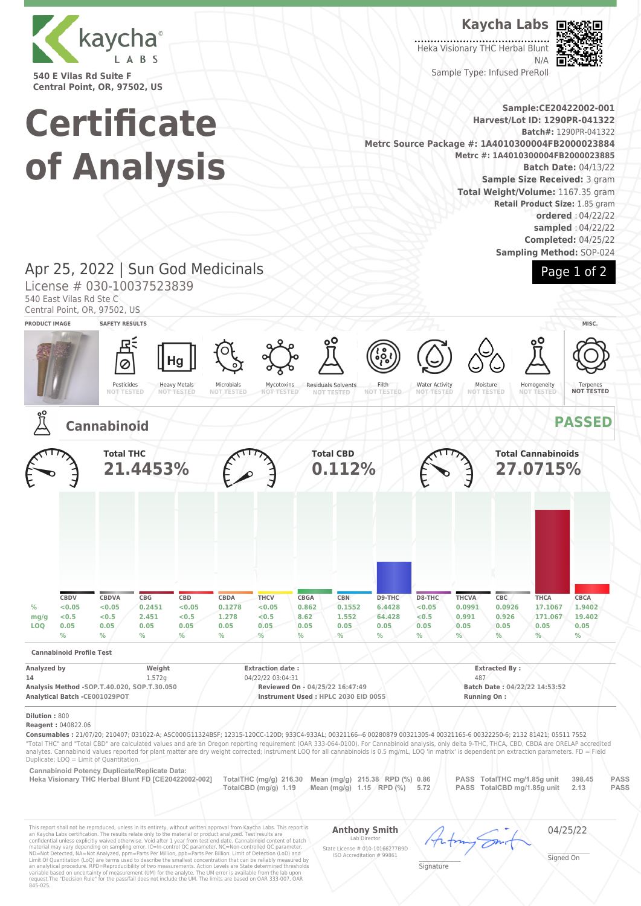

**540 E Vilas Rd Suite F Central Point, OR, 97502, US**

# **Certificate of Analysis**

**Kaycha Labs**

Heka Visionary THC Herbal Blunt N/A



Page 1 of 2

Sample Type: Infused PreRoll

**Sample:CE20422002-001 Harvest/Lot ID: 1290PR-041322 Batch#:** 1290PR-041322 **Metrc Source Package #: 1A4010300004FB2000023884 Metrc #: 1A4010300004FB2000023885 Batch Date:** 04/13/22 **Sample Size Received:** 3 gram **Total Weight/Volume:** 1167.35 gram **Retail Product Size:** 1.85 gram **ordered** : 04/22/22 **sampled** : 04/22/22 **Completed:** 04/25/22 **Sampling Method:** SOP-024

## Apr 25, 2022 | Sun God Medicinals

License # 030-10037523839

540 East Vilas Rd Ste C



**Dilution :** 800

**Reagent :** 040822.06

**Consumables :** 21/07/20; 210407; 031022-A; ASC000G11324BSF; 12315-120CC-120D; 933C4-933AL; 00321166--6 00280879 00321305-4 00321165-6 00322250-6; 2132 81421; 05511 7552 "Total THC" and "Total CBD" are calculated values and are an Oregon reporting requirement (OAR 333-064-0100). For Cannabinoid analysis, only delta 9-THC, THCA, CBD, CBDA are ORELAP accredited analytes. Cannabinoid values reported for plant matter are dry weight corrected; Instrument LOQ for all cannabinoids is 0.5 mg/mL, LOQ 'in matrix' is dependent on extraction parameters. FD = Field Duplicate; LOQ = Limit of Quantitation.

**Cannabinoid Potency Duplicate/Replicate Data:** 

Heka Visionary THC Herbal Blunt FD [CE20422002-002] TotalTHC (mg/g) 216.30 Mean (mg/g) 215.38 RPD (%) 0.86 PASS TotalTHC mg/1.85g unit 398.45 PASS **TotalTHC mg/ftalCBD** (mg/g) 1.19 Mean (mg/g) 1.15 RPD (%) 5.72 PASS TotalC **PASS TotalCBD mg/1.85g unit** 

This report shall not be reproduced, unless in its entirety, without written approval from Kaycha Labs. This report is<br>an Kaycha Labs certification. The results relate only to the material or product analyzed. Test result

**Anthony Smith** Lab Director State License # 010-10166277B9D ISO Accreditation # 99861

04/25/22

\_\_\_\_\_\_\_\_\_\_\_\_\_\_\_\_\_\_\_ Signature

\_\_\_\_\_\_\_\_\_\_\_\_\_\_\_\_\_\_\_ Signed On